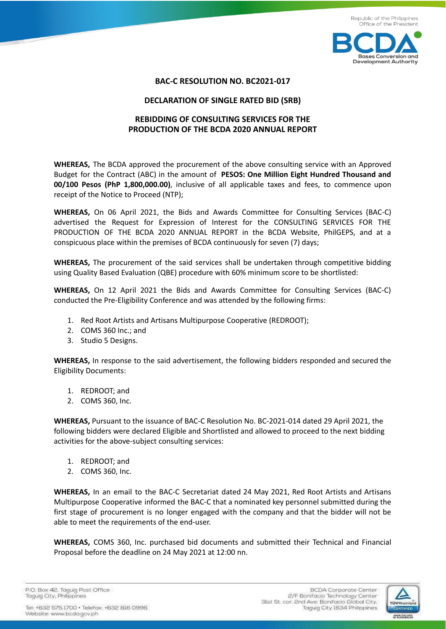

## **BAC-C RESOLUTION NO. BC2021-017**

## **DECLARATION OF SINGLE RATED BID (SRB)**

# **REBIDDING OF CONSULTING SERVICES FOR THE PRODUCTION OF THE BCDA 2020 ANNUAL REPORT**

**WHEREAS,** The BCDA approved the procurement of the above consulting service with an Approved Budget for the Contract (ABC) in the amount of **PESOS: One Million Eight Hundred Thousand and 00/100 Pesos (PhP 1,800,000.00)**, inclusive of all applicable taxes and fees, to commence upon receipt of the Notice to Proceed (NTP);

**WHEREAS,** On 06 April 2021, the Bids and Awards Committee for Consulting Services (BAC-C) advertised the Request for Expression of Interest for the CONSULTING SERVICES FOR THE PRODUCTION OF THE BCDA 2020 ANNUAL REPORT in the BCDA Website, PhilGEPS, and at a conspicuous place within the premises of BCDA continuously for seven (7) days;

**WHEREAS,** The procurement of the said services shall be undertaken through competitive bidding using Quality Based Evaluation (QBE) procedure with 60% minimum score to be shortlisted:

**WHEREAS,** On 12 April 2021 the Bids and Awards Committee for Consulting Services (BAC-C) conducted the Pre-Eligibility Conference and was attended by the following firms:

- 1. Red Root Artists and Artisans Multipurpose Cooperative (REDROOT);
- 2. COMS 360 Inc.; and
- 3. Studio 5 Designs.

**WHEREAS,** In response to the said advertisement, the following bidders responded and secured the Eligibility Documents:

- 1. REDROOT; and
- 2. COMS 360, Inc.

**WHEREAS,** Pursuant to the issuance of BAC-C Resolution No. BC-2021-014 dated 29 April 2021, the following bidders were declared Eligible and Shortlisted and allowed to proceed to the next bidding activities for the above-subject consulting services:

- 1. REDROOT; and
- 2. COMS 360, Inc.

**WHEREAS,** In an email to the BAC-C Secretariat dated 24 May 2021, Red Root Artists and Artisans Multipurpose Cooperative informed the BAC-C that a nominated key personnel submitted during the first stage of procurement is no longer engaged with the company and that the bidder will not be able to meet the requirements of the end-user.

**WHEREAS,** COMS 360, Inc. purchased bid documents and submitted their Technical and Financial Proposal before the deadline on 24 May 2021 at 12:00 nn.

P.O. Box 42. Taguig Post Office Taguig City, Philippines

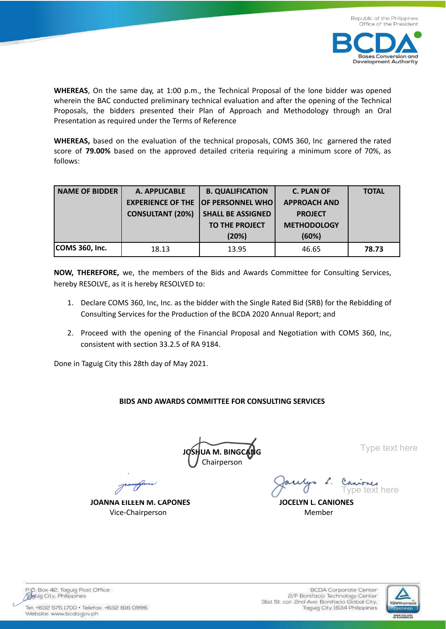



**WHEREAS**, On the same day, at 1:00 p.m., the Technical Proposal of the lone bidder was opened wherein the BAC conducted preliminary technical evaluation and after the opening of the Technical Proposals, the bidders presented their Plan of Approach and Methodology through an Oral Presentation as required under the Terms of Reference

**WHEREAS,** based on the evaluation of the technical proposals, COMS 360, Inc garnered the rated score of **79.00%** based on the approved detailed criteria requiring a minimum score of 70%, as follows:

| <b>NAME OF BIDDER</b> | A. APPLICABLE           | <b>B. QUALIFICATION</b>                   | <b>C. PLAN OF</b>   | <b>TOTAL</b> |
|-----------------------|-------------------------|-------------------------------------------|---------------------|--------------|
|                       |                         | <b>EXPERIENCE OF THE OF PERSONNEL WHO</b> | <b>APPROACH AND</b> |              |
|                       | <b>CONSULTANT (20%)</b> | <b>SHALL BE ASSIGNED</b>                  | <b>PROJECT</b>      |              |
|                       |                         | <b>TO THE PROJECT</b>                     | <b>METHODOLOGY</b>  |              |
|                       |                         | (20%)                                     | (60%)               |              |
| COMS 360, Inc.        | 18.13                   | 13.95                                     | 46.65               | 78.73        |

**NOW, THEREFORE,** we, the members of the Bids and Awards Committee for Consulting Services, hereby RESOLVE, as it is hereby RESOLVED to:

- 1. Declare COMS 360, Inc, Inc. as the bidder with the Single Rated Bid (SRB) for the Rebidding of Consulting Services for the Production of the BCDA 2020 Annual Report; and
- 2. Proceed with the opening of the Financial Proposal and Negotiation with COMS 360, Inc, consistent with section 33.2.5 of RA 9184.

Done in Taguig City this 28th day of May 2021.

# **BIDS AND AWARDS COMMITTEE FOR CONSULTING SERVICES**

**JUA M. BINGC** Chairperson

Type text here

**JOANNA EILEEN M. CAPONES JOCELYN L. CANIONES** Vice-Chairperson **Member** 

Caniones Type text here



P.O. Box 42, Taguig Post Office<br>Adduig City, Philippines